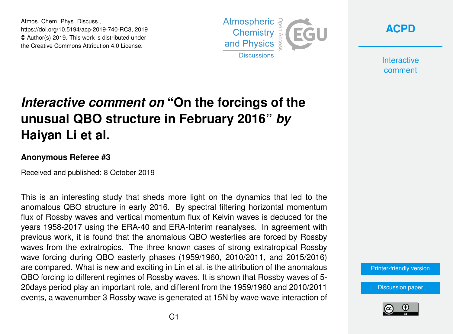Atmos. Chem. Phys. Discuss., https://doi.org/10.5194/acp-2019-740-RC3, 2019 © Author(s) 2019. This work is distributed under the Creative Commons Attribution 4.0 License.



**[ACPD](https://www.atmos-chem-phys-discuss.net/)**

**Interactive** comment

## *Interactive comment on* **"On the forcings of the unusual QBO structure in February 2016"** *by* **Haiyan Li et al.**

## **Anonymous Referee #3**

Received and published: 8 October 2019

This is an interesting study that sheds more light on the dynamics that led to the anomalous QBO structure in early 2016. By spectral filtering horizontal momentum flux of Rossby waves and vertical momentum flux of Kelvin waves is deduced for the years 1958-2017 using the ERA-40 and ERA-Interim reanalyses. In agreement with previous work, it is found that the anomalous QBO westerlies are forced by Rossby waves from the extratropics. The three known cases of strong extratropical Rossby wave forcing during QBO easterly phases (1959/1960, 2010/2011, and 2015/2016) are compared. What is new and exciting in Lin et al. is the attribution of the anomalous QBO forcing to different regimes of Rossby waves. It is shown that Rossby waves of 5- 20days period play an important role, and different from the 1959/1960 and 2010/2011 events, a wavenumber 3 Rossby wave is generated at 15N by wave wave interaction of

[Printer-friendly version](https://www.atmos-chem-phys-discuss.net/acp-2019-740/acp-2019-740-RC3-print.pdf)

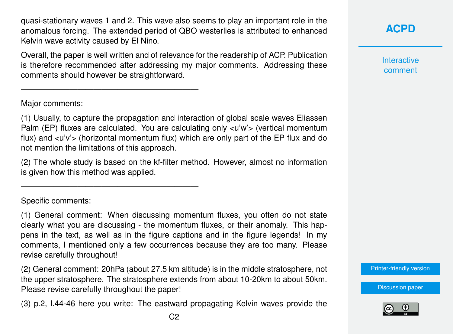quasi-stationary waves 1 and 2. This wave also seems to play an important role in the anomalous forcing. The extended period of QBO westerlies is attributed to enhanced Kelvin wave activity caused by El Nino.

Overall, the paper is well written and of relevance for the readership of ACP. Publication is therefore recommended after addressing my major comments. Addressing these comments should however be straightforward.

Major comments:

——————————————————————

——————————————————————

(1) Usually, to capture the propagation and interaction of global scale waves Eliassen Palm (EP) fluxes are calculated. You are calculating only <u'w'> (vertical momentum flux) and <u'v'> (horizontal momentum flux) which are only part of the EP flux and do not mention the limitations of this approach.

(2) The whole study is based on the kf-filter method. However, almost no information is given how this method was applied.

Specific comments:

(1) General comment: When discussing momentum fluxes, you often do not state clearly what you are discussing - the momentum fluxes, or their anomaly. This happens in the text, as well as in the figure captions and in the figure legends! In my comments, I mentioned only a few occurrences because they are too many. Please revise carefully throughout!

(2) General comment: 20hPa (about 27.5 km altitude) is in the middle stratosphere, not the upper stratosphere. The stratosphere extends from about 10-20km to about 50km. Please revise carefully throughout the paper!

(3) p.2, l.44-46 here you write: The eastward propagating Kelvin waves provide the

**[ACPD](https://www.atmos-chem-phys-discuss.net/)**

**Interactive** comment

[Printer-friendly version](https://www.atmos-chem-phys-discuss.net/acp-2019-740/acp-2019-740-RC3-print.pdf)

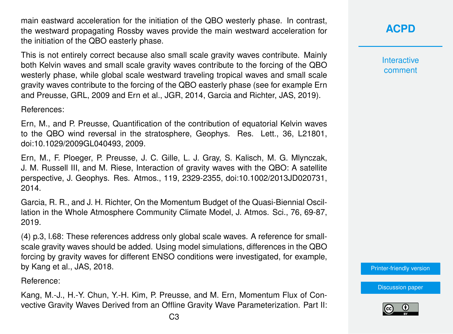main eastward acceleration for the initiation of the QBO westerly phase. In contrast, the westward propagating Rossby waves provide the main westward acceleration for the initiation of the QBO easterly phase.

This is not entirely correct because also small scale gravity waves contribute. Mainly both Kelvin waves and small scale gravity waves contribute to the forcing of the QBO westerly phase, while global scale westward traveling tropical waves and small scale gravity waves contribute to the forcing of the QBO easterly phase (see for example Ern and Preusse, GRL, 2009 and Ern et al., JGR, 2014, Garcia and Richter, JAS, 2019).

References:

Ern, M., and P. Preusse, Quantification of the contribution of equatorial Kelvin waves to the QBO wind reversal in the stratosphere, Geophys. Res. Lett., 36, L21801, doi:10.1029/2009GL040493, 2009.

Ern, M., F. Ploeger, P. Preusse, J. C. Gille, L. J. Gray, S. Kalisch, M. G. Mlynczak, J. M. Russell III, and M. Riese, Interaction of gravity waves with the QBO: A satellite perspective, J. Geophys. Res. Atmos., 119, 2329-2355, doi:10.1002/2013JD020731, 2014.

Garcia, R. R., and J. H. Richter, On the Momentum Budget of the Quasi-Biennial Oscillation in the Whole Atmosphere Community Climate Model, J. Atmos. Sci., 76, 69-87, 2019.

(4) p.3, l.68: These references address only global scale waves. A reference for smallscale gravity waves should be added. Using model simulations, differences in the QBO forcing by gravity waves for different ENSO conditions were investigated, for example, by Kang et al., JAS, 2018.

Reference:

Kang, M.-J., H.-Y. Chun, Y.-H. Kim, P. Preusse, and M. Ern, Momentum Flux of Convective Gravity Waves Derived from an Offline Gravity Wave Parameterization. Part II: **[ACPD](https://www.atmos-chem-phys-discuss.net/)**

**Interactive** comment

[Printer-friendly version](https://www.atmos-chem-phys-discuss.net/acp-2019-740/acp-2019-740-RC3-print.pdf)

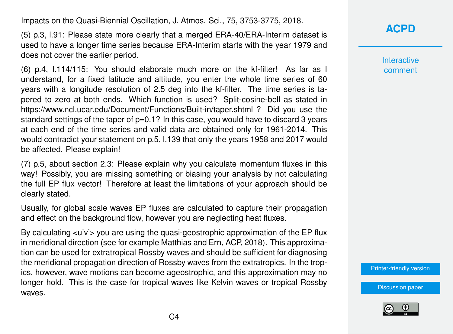Impacts on the Quasi-Biennial Oscillation, J. Atmos. Sci., 75, 3753-3775, 2018.

(5) p.3, l.91: Please state more clearly that a merged ERA-40/ERA-Interim dataset is used to have a longer time series because ERA-Interim starts with the year 1979 and does not cover the earlier period.

(6) p.4, l.114/115: You should elaborate much more on the kf-filter! As far as I understand, for a fixed latitude and altitude, you enter the whole time series of 60 years with a longitude resolution of 2.5 deg into the kf-filter. The time series is tapered to zero at both ends. Which function is used? Split-cosine-bell as stated in https://www.ncl.ucar.edu/Document/Functions/Built-in/taper.shtml ? Did you use the standard settings of the taper of p=0.1? In this case, you would have to discard 3 years at each end of the time series and valid data are obtained only for 1961-2014. This would contradict your statement on p.5, l.139 that only the years 1958 and 2017 would be affected. Please explain!

(7) p.5, about section 2.3: Please explain why you calculate momentum fluxes in this way! Possibly, you are missing something or biasing your analysis by not calculating the full EP flux vector! Therefore at least the limitations of your approach should be clearly stated.

Usually, for global scale waves EP fluxes are calculated to capture their propagation and effect on the background flow, however you are neglecting heat fluxes.

By calculating  $\langle u'v' \rangle$  you are using the quasi-geostrophic approximation of the EP flux in meridional direction (see for example Matthias and Ern, ACP, 2018). This approximation can be used for extratropical Rossby waves and should be sufficient for diagnosing the meridional propagation direction of Rossby waves from the extratropics. In the tropics, however, wave motions can become ageostrophic, and this approximation may no longer hold. This is the case for tropical waves like Kelvin waves or tropical Rossby waves.

**[ACPD](https://www.atmos-chem-phys-discuss.net/)**

**Interactive** comment

[Printer-friendly version](https://www.atmos-chem-phys-discuss.net/acp-2019-740/acp-2019-740-RC3-print.pdf)

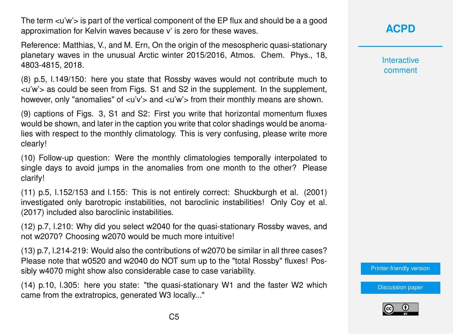The term  $\langle u'w' \rangle$  is part of the vertical component of the EP flux and should be a a good approximation for Kelvin waves because v' is zero for these waves.

Reference: Matthias, V., and M. Ern, On the origin of the mesospheric quasi-stationary planetary waves in the unusual Arctic winter 2015/2016, Atmos. Chem. Phys., 18, 4803-4815, 2018.

(8) p.5, l.149/150: here you state that Rossby waves would not contribute much to <u'w'> as could be seen from Figs. S1 and S2 in the supplement. In the supplement, however, only "anomalies" of  $\langle u'v' \rangle$  and  $\langle u'w' \rangle$  from their monthly means are shown.

(9) captions of Figs. 3, S1 and S2: First you write that horizontal momentum fluxes would be shown, and later in the caption you write that color shadings would be anomalies with respect to the monthly climatology. This is very confusing, please write more clearly!

(10) Follow-up question: Were the monthly climatologies temporally interpolated to single days to avoid jumps in the anomalies from one month to the other? Please clarify!

(11) p.5, l.152/153 and l.155: This is not entirely correct: Shuckburgh et al. (2001) investigated only barotropic instabilities, not baroclinic instabilities! Only Coy et al. (2017) included also baroclinic instabilities.

(12) p.7, l.210: Why did you select w2040 for the quasi-stationary Rossby waves, and not w2070? Choosing w2070 would be much more intuitive!

(13) p.7, l.214-219: Would also the contributions of w2070 be similar in all three cases? Please note that w0520 and w2040 do NOT sum up to the "total Rossby" fluxes! Possibly w4070 might show also considerable case to case variability.

(14) p.10, l.305: here you state: "the quasi-stationary W1 and the faster W2 which came from the extratropics, generated W3 locally..."

## **[ACPD](https://www.atmos-chem-phys-discuss.net/)**

**Interactive** comment

[Printer-friendly version](https://www.atmos-chem-phys-discuss.net/acp-2019-740/acp-2019-740-RC3-print.pdf)

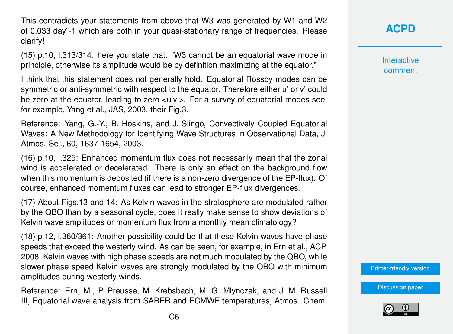This contradicts your statements from above that W3 was generated by W1 and W2 of 0.033 dayˆ-1 which are both in your quasi-stationary range of frequencies. Please clarify!

(15) p.10, l.313/314: here you state that: "W3 cannot be an equatorial wave mode in principle, otherwise its amplitude would be by definition maximizing at the equator."

I think that this statement does not generally hold. Equatorial Rossby modes can be symmetric or anti-symmetric with respect to the equator. Therefore either u' or v' could be zero at the equator, leading to zero <u'v'>. For a survey of equatorial modes see, for example, Yang et al., JAS, 2003, their Fig.3.

Reference: Yang, G.-Y., B. Hoskins, and J. Slingo, Convectively Coupled Equatorial Waves: A New Methodology for Identifying Wave Structures in Observational Data, J. Atmos. Sci., 60, 1637-1654, 2003.

(16) p.10, l.325: Enhanced momentum flux does not necessarily mean that the zonal wind is accelerated or decelerated. There is only an effect on the background flow when this momentum is deposited (if there is a non-zero divergence of the EP-flux). Of course, enhanced momentum fluxes can lead to stronger EP-flux divergences.

(17) About Figs.13 and 14: As Kelvin waves in the stratosphere are modulated rather by the QBO than by a seasonal cycle, does it really make sense to show deviations of Kelvin wave amplitudes or momentum flux from a monthly mean climatology?

(18) p.12, l.360/361: Another possibility could be that these Kelvin waves have phase speeds that exceed the westerly wind. As can be seen, for example, in Ern et al., ACP, 2008, Kelvin waves with high phase speeds are not much modulated by the QBO, while slower phase speed Kelvin waves are strongly modulated by the QBO with minimum amplitudes during westerly winds.

Reference: Ern, M., P. Preusse, M. Krebsbach, M. G. Mlynczak, and J. M. Russell III, Equatorial wave analysis from SABER and ECMWF temperatures, Atmos. Chem. **[ACPD](https://www.atmos-chem-phys-discuss.net/)**

**Interactive** comment

[Printer-friendly version](https://www.atmos-chem-phys-discuss.net/acp-2019-740/acp-2019-740-RC3-print.pdf)

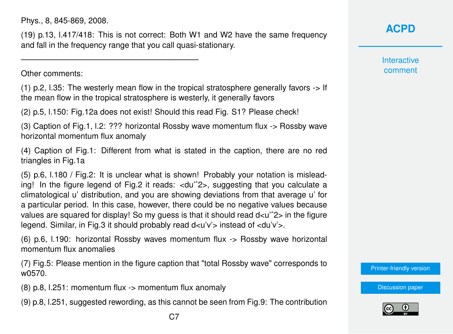Phys., 8, 845-869, 2008.

——————————————————————

(19) p.13, l.417/418: This is not correct: Both W1 and W2 have the same frequency and fall in the frequency range that you call quasi-stationary.

Other comments:

(1) p.2, l.35: The westerly mean flow in the tropical stratosphere generally favors -> If the mean flow in the tropical stratosphere is westerly, it generally favors

(2) p.5, l.150: Fig.12a does not exist! Should this read Fig. S1? Please check!

(3) Caption of Fig.1, l.2: ??? horizontal Rossby wave momentum flux -> Rossby wave horizontal momentum flux anomaly

(4) Caption of Fig.1: Different from what is stated in the caption, there are no red triangles in Fig.1a

(5) p.6, l.180 / Fig.2: It is unclear what is shown! Probably your notation is misleading! In the figure legend of Fig.2 it reads: <du'ˆ2>, suggesting that you calculate a climatological u' distribution, and you are showing deviations from that average u' for a particular period. In this case, however, there could be no negative values because values are squared for display! So my quess is that it should read  $d \lt u$   $\approx$  2 in the figure legend. Similar, in Fig.3 it should probably read  $d < u'v'$  instead of  $< du'v'$ .

(6) p.6, l.190: horizontal Rossby waves momentum flux -> Rossby wave horizontal momentum flux anomalies

(7) Fig.5: Please mention in the figure caption that "total Rossby wave" corresponds to w0570.

(8) p.8, l.251: momentum flux -> momentum flux anomaly

(9) p.8, l.251, suggested rewording, as this cannot be seen from Fig.9: The contribution

**Interactive** comment

[Printer-friendly version](https://www.atmos-chem-phys-discuss.net/acp-2019-740/acp-2019-740-RC3-print.pdf)